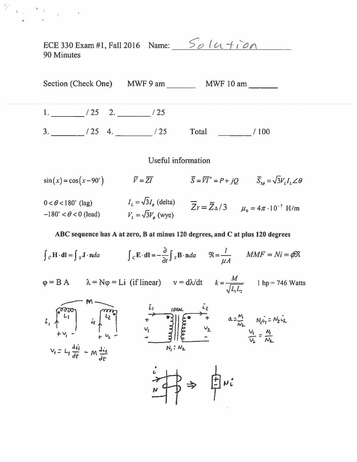ECE 330 Exam #1, Fall 2016 Name:  $\frac{5}{\omega}$  /  $\alpha$  +  $\alpha$ 90 Minutes

 $\frac{1}{2}$   $\frac{1}{2}$   $\frac{1}{2}$   $\frac{1}{2}$   $\frac{1}{2}$   $\frac{1}{2}$   $\frac{1}{2}$   $\frac{1}{2}$ 



Useful information

 $\sin(x) = \cos(x - 90^\circ)$   $\qquad \qquad \overline{Y} = \overline{ZI}$   $\qquad \qquad \overline{S} = \overline{V}\overline{I}^* = P + jQ$   $\qquad \overline{S}_{3\phi} = \sqrt{3}V_L I_L \angle \theta$  $I_L = \sqrt{3}I_{\phi}$  (delta)  $\overline{Z}_Y = \overline{Z}_{\Delta}/3$   $\mu_0 = 4\pi \cdot 10^{-7}$  H/m  $0 < \theta < 180^{\circ}$  (lag)  $-180^{\circ} < \theta < 0$  (lead)  $V_L = \sqrt{3}V_{\phi}$  (wye)

### ABC sequence has A at zero, B at minus 120 degrees, and C at plus 120 degrees

 $\int_{C} \mathbf{H} \cdot \mathbf{dl} = \int_{S} \mathbf{J} \cdot \mathbf{n} da$   $\int_{C} \mathbf{E} \cdot \mathbf{dl} = -\frac{\partial}{\partial t} \int_{S} \mathbf{B} \cdot \mathbf{n} da$   $\Re = \frac{l}{l A}$   $MMF = Ni = \phi \Re$  $\varphi = B A$   $\lambda = N\varphi = Li$  (if linear)  $v = d\lambda/dt$   $k = \frac{M}{\sqrt{L L}}$  1 hp = 746 Watts  $V_i = L_i \frac{di}{dt} - M \frac{di}{dt}$ 书⇒ 申µi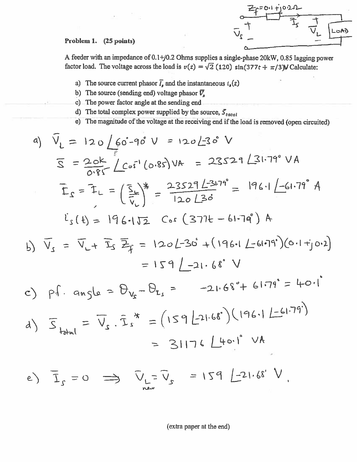

# Problem 1. (25 points)

A feeder with an impedance of 0.1+j0.2 Ohms supplies a single-phase 20kW, 0.85 lagging power factor load. The voltage across the load is  $v(t) = \sqrt{2}$  (120) sin(377t +  $\pi$ /3)V Calculate:

- a) The source current phasor  $\overline{l}_s$  and the instantaneous  $i_s(t)$
- b) The source (sending end) voltage phasor  $\bar{V}_n$ .
- c) The power factor angle at the sending end
- d) The total complex power supplied by the source,  $S_{total}$
- e) The magnitude of the voltage at the receiving end if the load is removed (open circuited)

a) 
$$
\hat{V}_L = 120 \underline{\qquad} 60 - 90^{\circ} \underline{\qquad} = 120 \underline{\qquad} 30^{\circ} \underline{\qquad} \underline{\qquad} 60
$$
  
\n $\overline{S} = \frac{20k}{0.85} \underline{\qquad} 60.85 \underline{\qquad} 10k = 23529 \underline{\qquad} 231.79^{\circ} \underline{\qquad} 14$   
\n $\overline{L}_s = \overline{L}_L = (\frac{5}{\overline{t}_L})^* = \frac{23529 \underline{\qquad} 23.79^{\circ}}{120 \underline{\qquad} 20^{\circ}} = 196 \underline{\qquad} 1 - 61.79^{\circ} \underline{\qquad} 14$   
\n $\vec{L}_s (t) = 196 \underline{\qquad} 112 \underline{\qquad} 126 \underline{\qquad} 130 \underline{\qquad} 130$   
\n $\vec{L}_s (t) = 196 \underline{\qquad} 112 \underline{\qquad} 165 \underline{\qquad} 164 \underline{\qquad} 1 - 61.79^{\circ} \underline{\qquad} 14$   
\nb)  $\overline{V}_s = \overline{V}_L + \overline{L}_s \overline{Z}_f = 120 \underline{\qquad} 230^{\circ} + (196 \underline{\qquad} 1 - 61.79^{\circ}) (\underline{\qquad} 0.1 + j \underline{\qquad} 0.2)$   
\n $= 159 \underline{\qquad} 1 - 21.68^{\circ} \underline{\qquad} 1$   
\nc)  $p_1$ . angle =  $\theta_{V_x} - \theta_{L_s} = -21.68^{\circ} + 61.79^{\circ} = 40.1^{\circ}$   
\nd)  $\overline{S}_{total} = \overline{V}_s \cdot \overline{L}_s^* = (159 \underline{\qquad} 21.68^{\circ}) (\underline{196} \underline{\qquad} 1 - 61.79^{\circ})$   
\n $= 31176 \underline{\qquad} 140.1^{\circ} \underline{\qquad} 146$   
\n $\overline{V}_s = 0. \Rightarrow \overline{$ 

e)  $I_{c} = 0$ new

(extra paper at the end)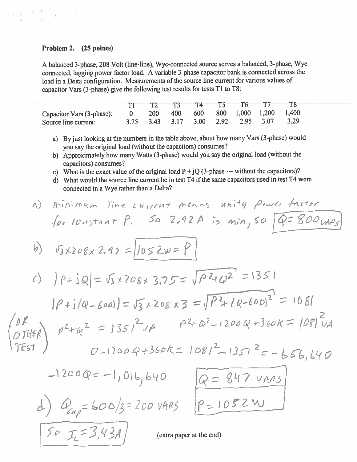# Problem 2. (25 points)

A balanced 3-phase, 208 Volt (line-line), Wye-connected source serves a balanced, 3-phase, Wyeconnected, lagging power factor load. A variable 3-phase capacitor bank is connected across the load in a Delta configuration. Measurements of the source line current for various values of capacitor Vars (3-phase) give the following test results for tests T1 to T8:

|                                                               | $T1$ $T2$ $T3$ $T4$ $T5$ $T6$ $T7$ $T8$ |  |  |                                         |  |
|---------------------------------------------------------------|-----------------------------------------|--|--|-----------------------------------------|--|
| Capacitor Vars (3-phase): 0 200 400 600 800 1,000 1,200 1,400 |                                         |  |  |                                         |  |
| Source line current:                                          |                                         |  |  | 3.75 3.43 3.17 3.00 2.92 2.95 3.07 3.29 |  |

- a) By just looking at the numbers in the table above, about how many Vars (3-phase) would you say the original load (without the capacitors) consumes?
- b) Approximately how many Watts (3-phase) would you say the original load (without the capacitors) consumes?
- c) What is the exact value of the original load  $P + jQ$  (3-phase --- without the capacitors)?
- d) What would the source line current be in test T4 if the same capacitors used in test T4 were connected in a Wye rather than a Delta?

a) *minimum* line current means unity *parent* there  
\nfor 10,15,17. P. 50 2,92A is min, so 
$$
Q=800
$$
 and  
\nb)  $5x208x2.92 = |1052w=P|$   
\nc)  $|P+1Q| = 5x208x3.75 = \sqrt{P^2+Q^2} = 1351$   
\n $|P+1|Q-600| = 5x208 \times 3 = \sqrt{P^2+P^2} = 1351$   
\n6)  $P^2+Q^2 = |351^2 \sqrt{A} \qquad P^2+Q^2-1200Q+360k = |08|^{2}VA$   
\n6)  $P^2+Q^2 = |351^2 \sqrt{A} \qquad P^2+Q^2-1200Q+360k = |08|^{2}VA$   
\n6)  $P=1200Q=-1,016,640$   
\n $\frac{Q=847 \text{ VARS}}{P=1052 \text{ W}}$   
\n70  $T_{c}=3,43A$  (extra paper at the end)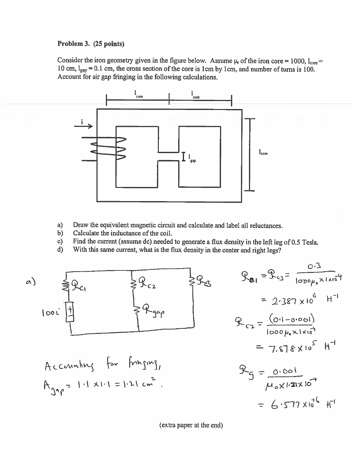# Problem 3. (25 points)

Consider the iron geometry given in the figure below. Assume  $\mu_r$  of the iron core = 1000,  $l_{\text{core}}$ 10 cm,  $l_{\text{gap}} = 0.1$  cm, the cross section of the core is 1 cm by 1 cm, and number of turns is 100. Account for air gap fringing in the following calculations.



- a) Draw the equivalent magnetic circuit and calculate and label all reluctances.
- $b)$ Calculate the inductance of the coil.
- Find the current (assume dc) needed to generate a flux density in the left leg of 0.5 Tesla.  $c)$
- With this same current, what is the flux density in the center and right legs?  $\mathbf{d}$



(extra paper at the end)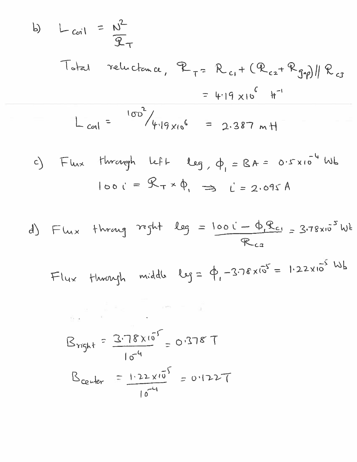b) 
$$
L_{ci1} = N^2
$$
  
\n
$$
T_{total} = N^2
$$
\n
$$
T_{total} = N_{ci} + (R_{ci} + R_{j\gamma})/R_{cs}
$$
\n
$$
= 4.19 \times 10^6 \text{ H}^{-1}
$$
\n
$$
L_{col1} = \frac{100^3}{4.19 \times 10^6} = 2.387 \text{ m H}
$$
\nc) 
$$
= R_{tot} + N_{couq}
$$
\n
$$
I_{00} = R_{tot} \times \Phi_{tot} = 2.387 \text{ H}
$$
\n
$$
I_{00} = R_{tot} \times \Phi_{tot} = 2.387 \text{ H}
$$
\n
$$
I_{00} = R_{tot} \times \Phi_{tot} = 2.378 \times 10^{-4} \text{ W}
$$
\n
$$
I_{00} = R_{tot} \times \Phi_{tot} = 2.378 \times 10^{-5} \text{ W}
$$
\n
$$
R_{ca}
$$
\n
$$
T_{d4} = 2.378 \times 10^{-5} \text{ H}
$$
\n
$$
R_{c4} = 2.378 \times 10^{-5} \text{ H}
$$
\n
$$
R_{c4} = 2.378 \times 10^{-5} \text{ H}
$$
\n
$$
R_{c4} = 2.378 \times 10^{-5} \text{ H}
$$
\n
$$
R_{c4} = 2.378 \times 10^{-5} \text{ H}
$$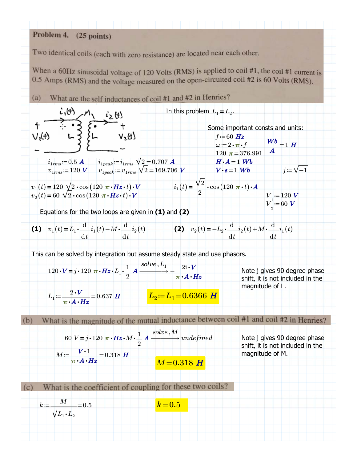#### Problem 4.  $(25$  points)

Two identical coils (each with zero resistance) are located near each other.

When a 60Hz sinusoidal voltage of 120 Volts (RMS) is applied to coil #1, the coil #1 current is 0.5 Amps (RMS) and the voltage measured on the open-circuited coil #2 is 60 Volts (RMS).

What are the self inductances of coil #1 and #2 in Henries?  $(a)$ 

$$
+ \frac{\partial \phi}{\partial x} + \frac{\partial \phi}{\partial y} + \frac{\partial \phi}{\partial z} + \frac{\partial \phi}{\partial z} + \frac{\partial \phi}{\partial z} + \frac{\partial \phi}{\partial z} + \frac{\partial \phi}{\partial z} + \frac{\partial \phi}{\partial z} + \frac{\partial \phi}{\partial z} + \frac{\partial \phi}{\partial z} + \frac{\partial \phi}{\partial z} + \frac{\partial \phi}{\partial z} + \frac{\partial \phi}{\partial z} + \frac{\partial \phi}{\partial z} + \frac{\partial \phi}{\partial z} + \frac{\partial \phi}{\partial z} + \frac{\partial \phi}{\partial z} + \frac{\partial \phi}{\partial z} + \frac{\partial \phi}{\partial z} + \frac{\partial \phi}{\partial z} + \frac{\partial \phi}{\partial z} + \frac{\partial \phi}{\partial z} + \frac{\partial \phi}{\partial z} + \frac{\partial \phi}{\partial z} + \frac{\partial \phi}{\partial z} + \frac{\partial \phi}{\partial z} + \frac{\partial \phi}{\partial z} + \frac{\partial \phi}{\partial z} + \frac{\partial \phi}{\partial z} + \frac{\partial \phi}{\partial z} + \frac{\partial \phi}{\partial z} + \frac{\partial \phi}{\partial z} + \frac{\partial \phi}{\partial z} + \frac{\partial \phi}{\partial z} + \frac{\partial \phi}{\partial z} + \frac{\partial \phi}{\partial z} + \frac{\partial \phi}{\partial z} + \frac{\partial \phi}{\partial z} + \frac{\partial \phi}{\partial z} + \frac{\partial \phi}{\partial z} + \frac{\partial \phi}{\partial z} + \frac{\partial \phi}{\partial z} + \frac{\partial \phi}{\partial z} + \frac{\partial \phi}{\partial z} + \frac{\partial \phi}{\partial z} + \frac{\partial \phi}{\partial z} + \frac{\partial \phi}{\partial z} + \frac{\partial \phi}{\partial z} + \frac{\partial \phi}{\partial z} + \frac{\partial \phi}{\partial z} + \frac{\partial \phi}{\partial z} + \frac{\partial \phi}{\partial z} + \frac{\partial \phi}{\partial z} + \frac{\partial \phi}{\partial z} + \frac{\partial \phi}{\partial z} + \frac{\partial \phi}{\partial z} + \frac{\partial \phi}{\partial z} + \frac{\partial \phi}{\partial z} + \frac{\partial \phi}{\partial z} + \frac{\partial \phi}{\partial z} + \frac{\partial \phi}{\partial z} + \frac{\partial \phi}{\partial z} + \frac{\partial \phi}{\partial z} + \frac
$$

Equations for the two loops are given in **(1)** and **(2)**

(1) 
$$
v_1(t) = L_1 \cdot \frac{d}{dt} i_1(t) - M \cdot \frac{d}{dt} i_2(t)
$$
  
(2)  $v_2(t) = -L_2 \cdot \frac{d}{dt} i_2(t) + M \cdot \frac{d}{dt} i_1(t)$ 

*solve L*, *<sup>1</sup>*

This can be solved by integration but assume steady state and use phasors.

$$
120 \cdot V = j \cdot 120 \pi \cdot Hz \cdot L_1 \cdot \frac{1}{2} A \xrightarrow{\text{solve } , L_1} \frac{2i \cdot V}{\pi \cdot A \cdot Hz}
$$
\nNote j gives 90 degree phase shift, it is not included in the magnitude of L.  
\n
$$
L_1 := \frac{2 \cdot V}{\pi \cdot A \cdot Hz} = 0.637 H
$$
\n
$$
L_2 := L_1 = 0.6366 H
$$
\nmagnitude of L.

What is the magnitude of the mutual inductance between coil #1 and coil #2 in Henries?  $(b)$ 

$$
60 V = j \cdot 120 \pi \cdot Hz \cdot M \cdot \frac{1}{2} A \xrightarrow{solve, M} underined
$$

$$
M = \frac{V \cdot 1}{\pi \cdot A \cdot Hz} = 0.318 H
$$

Note *j* gives 90 degree phase shift, it is not included in the magnitude of M.

What is the coefficient of coupling for these two coils?  $(c)$ 

| $k = \frac{M}{\sqrt{I+I}} = 0.5$          | $k=0.5$ |  |
|-------------------------------------------|---------|--|
| $V^{\mathcal{L}_1 \bullet \mathcal{L}_2}$ |         |  |
|                                           |         |  |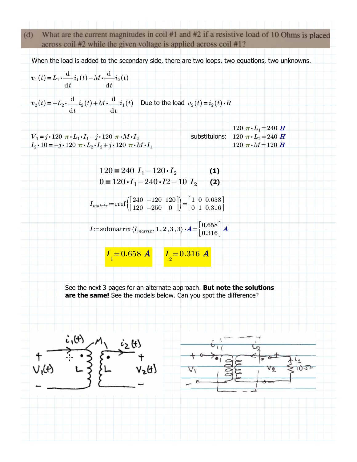What are the current magnitudes in coil #1 and #2 if a resistive load of 10 Ohms is placed  $(d)$ across coil #2 while the given voltage is applied across coil #1?

When the load is added to the secondary side, there are two loops, two equations, two unknowns.

$$
v_1(t) = L_1 \cdot \frac{d}{dt} i_1(t) - M \cdot \frac{d}{dt} i_2(t)
$$
  

$$
v_2(t) = -L_2 \cdot \frac{d}{dt} i_2(t) + M \cdot \frac{d}{dt} i_1(t)
$$
 Due to the load  $v_2(t) = i_2(t) \cdot R$ 

 $120 \pi \cdot L_1 = 240 \text{ H}$  $V_1 = j \cdot 120 \pi \cdot L_1 \cdot I_1 - j \cdot 120 \pi \cdot M \cdot I_2$ <br>  $I_2 \cdot 10 = -j \cdot 120 \pi \cdot L_2 \cdot I_2 + j \cdot 120 \pi \cdot M \cdot I_1$ <br>
120  $\pi \cdot M = 120$  *H*  $I_2 \cdot 10 = -j \cdot 120 \pi \cdot L_2 \cdot I_2 + j \cdot 120 \pi \cdot M \cdot I_1$ 

$$
120 = 240 I1 - 120 \cdot I2
$$
  
(1)  
0 = 120 \cdot I<sub>1</sub> - 240 \cdot I<sub>2</sub> - 10 I<sub>2</sub> (2)

 $I_{matrix} := \text{rref}\begin{pmatrix} 240 & -120 & 120 \\ 120 & -250 & 0 \end{pmatrix}$ 240 −120 120  $120 - 250 = 0$ ⎡ ⎢⎣ ⎤ ⎥⎦ ⎞ ⎟⎠ 1 0 0.658 0 1 0.316 ⎡ ⎢⎣ ⎤ i

$$
I\!:=\!\text{submatrix}\left(I_{matrix},1\,,2\,,3\,,3\right)\boldsymbol{\cdot} \boldsymbol{A}\!=\!\!\begin{bmatrix} 0.658\\ 0.316 \end{bmatrix}\boldsymbol{A}
$$

$$
I_{1} = 0.658 \text{ A} \qquad I_{2} = 0.316 \text{ A}
$$

See the next 3 pages for an alternate approach. **But note the solutions are the same!** See the models below. Can you spot the difference?

$$
+\n\begin{array}{c}\n\overbrace{\phantom{0}}^{i,(t)} \\
+ \\
\overbrace{\phantom{0}}^{i,(t)} \\
- \\
-\n\end{array}\n\qquad\n\begin{array}{c}\n\overbrace{\phantom{0}}^{i,(t)} \\
+ \\
-\overbrace{\phantom{0}}^{i,(t)} \\
-\n\end{array}\n\qquad\n\begin{array}{c}\n\overbrace{\phantom{0}}^{i,(t)} \\
+ \\
-\overbrace{\phantom{0}}^{i,(t)} \\
-\n\end{array}
$$

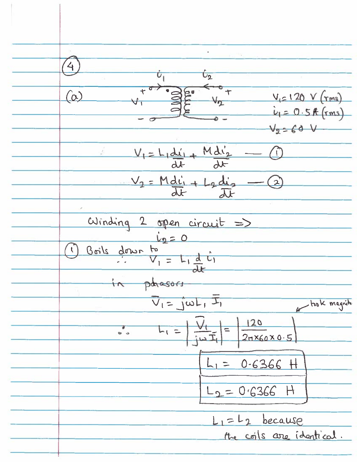4  $\frac{1}{\sqrt{2}}$  $^{\circ}$  +  $\alpha$  $V_{12}120 V$  (rms)  $1 = 0.5$  f  $(rms)$  $V_2 - 60$  V  $V_1 = L_1 \frac{d_1 i_1}{d x} + \frac{M d_1 i_2}{d x}$  $\frac{V_2 = Mdi_1 + L_2di_2}{dt}$  $winding$  2 open circuit =>  $\frac{v_{111}v_{11}}{\sqrt{1-\frac{1}{2}+1}\frac{d^{2}v_{11}}{dv^{2}}}}$  $\mathcal{L}$ phasors  $\overline{v_1} = \overline{j\omega L_1} \overline{L_1}$ took magnitu  $\frac{120}{2n\times60\times0.5}$  $L_1 = \frac{V_1}{i \omega I_1}$  $\frac{1}{2}$  $L_1 = 0.6366$  H  $L_2 = 0.6366$  H  $L_1 = L_2$  because the coils are identical.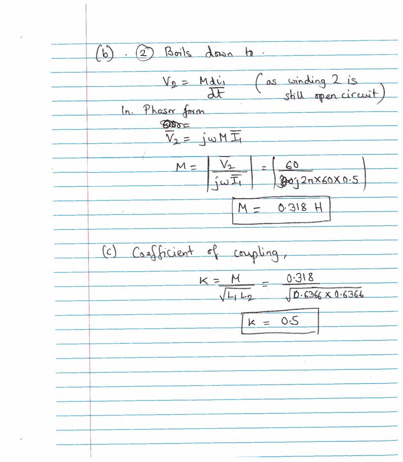$(b)$ 2) Boils down to.  $V_2 = M \frac{d\dot{u}}{dt}$ as winding 2 is In. Phaser form **BOOT**  $V_1 = j \omega M \overline{\pm}$  $V_{2}$  $60$  $M =$ Boj2 7X60 X 0.5  $\frac{1}{1} \omega \overline{1}$  $M = 0.318 H$ (c) Coefficient of coupling,  $K = M$  0.318  $0.6366 \times 0.6366$  $k = 0.5$